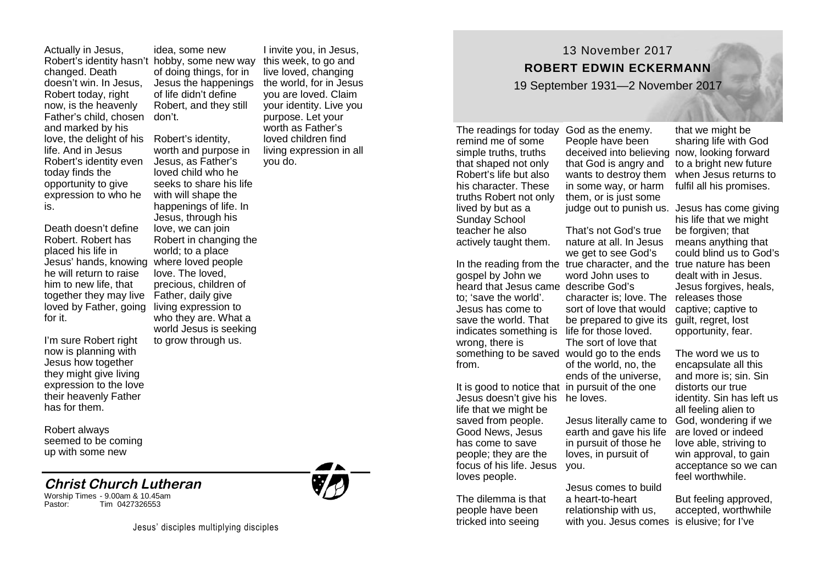Actually in Jesus, changed. Death doesn't win. In Jesus, Robert today, right now, is the heavenly Father's child, chosen and marked by his love, the delight of his Robert's identity, life. And in Jesus Robert's identity even today finds the opportunity to give expression to who he is.

Death doesn't define Robert. Robert has placed his life in Jesus' hands, knowing where loved people he will return to raise him to new life, that together they may live loved by Father, going for it.

I'm sure Robert right now is planning with Jesus how together they might give living expression to the love their heavenly Father has for them.

Robert always seemed to be coming up with some new

## **Christ Church Lutheran**

Worship Times - 9.00am & 10.45am Tim 0427326553



worth and purpose in Jesus, as Father's loved child who he seeks to share his life with will shape the happenings of life. In Jesus, through his love, we can join Robert in changing the world; to a place love. The loved, precious, children of Father, daily give living expression to who they are. What a world Jesus is seeking to grow through us.

I invite you, in Jesus, this week, to go and live loved, changing the world, for in Jesus you are loved. Claim your identity. Live you purpose. Let your worth as Father's loved children find living expression in all you do.

**ROBERT EDWIN ECKERMANN** 19 September 1931—2 November 2017

The readings for today God as the enemy. remind me of some simple truths, truths that shaped not only Robert's life but also his character. These truths Robert not only lived by but as a Sunday School teacher he also actively taught them.

gospel by John we heard that Jesus came describe God's to; 'save the world'. Jesus has come to save the world. That indicates something is life for those loved. wrong, there is from.

Jesus doesn't give his he loves. life that we might be saved from people. Good News, Jesus has come to save people; they are the focus of his life. Jesus loves people.

The dilemma is that people have been tricked into seeing

People have been deceived into believing now, looking forward that God is angry and wants to destroy them in some way, or harm them, or is just some

13 November 2017

In the reading from the true character, and the true nature has been something to be saved would go to the ends That's not God's true nature at all. In Jesus we get to see God's word John uses to character is; love. The releases those sort of love that would be prepared to give its guilt, regret, lost The sort of love that of the world, no, the ends of the universe,

It is good to notice that in pursuit of the one

Jesus literally came to earth and gave his life in pursuit of those he loves, in pursuit of you.

Jesus comes to build a heart-to-heart relationship with us, with you. Jesus comes is elusive; for I've

that we might be sharing life with God to a bright new future when Jesus returns to fulfil all his promises.

judge out to punish us. Jesus has come giving his life that we might be forgiven; that means anything that could blind us to God's dealt with in Jesus. Jesus forgives, heals, captive; captive to opportunity, fear.

> The word we us to encapsulate all this and more is; sin. Sin distorts our true identity. Sin has left us all feeling alien to God, wondering if we are loved or indeed love able, striving to win approval, to gain acceptance so we can feel worthwhile.

But feeling approved, accepted, worthwhile

Jesus' disciples multiplying disciples